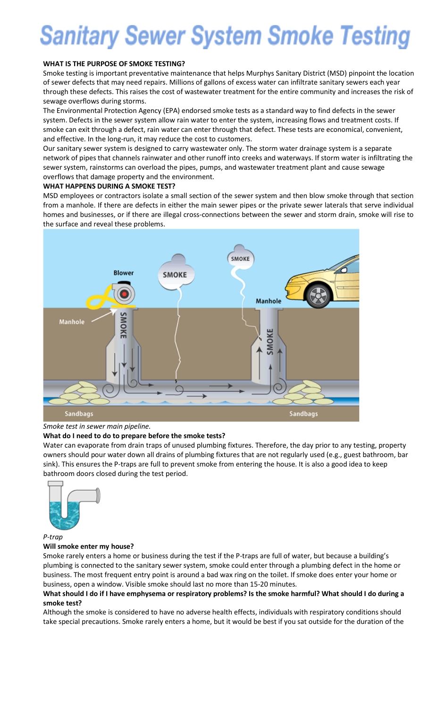# **Sanitary Sewer System Smoke Testing**

#### **WHAT IS THE PURPOSE OF SMOKE TESTING?**

Smoke testing is important preventative maintenance that helps Murphys Sanitary District (MSD) pinpoint the location of sewer defects that may need repairs. Millions of gallons of excess water can infiltrate sanitary sewers each year through these defects. This raises the cost of wastewater treatment for the entire community and increases the risk of sewage overflows during storms.

The Environmental Protection Agency (EPA) endorsed smoke tests as a standard way to find defects in the sewer system. Defects in the sewer system allow rain water to enter the system, increasing flows and treatment costs. If smoke can exit through a defect, rain water can enter through that defect. These tests are economical, convenient, and effective. In the long-run, it may reduce the cost to customers.

Our sanitary sewer system is designed to carry wastewater only. The storm water drainage system is a separate network of pipes that channels rainwater and other runoff into creeks and waterways. If storm water is infiltrating the sewer system, rainstorms can overload the pipes, pumps, and wastewater treatment plant and cause sewage overflows that damage property and the environment.

#### **WHAT HAPPENS DURING A SMOKE TEST?**

MSD employees or contractors isolate a small section of the sewer system and then blow smoke through that section from a manhole. If there are defects in either the main sewer pipes or the private sewer laterals that serve individual homes and businesses, or if there are illegal cross-connections between the sewer and storm drain, smoke will rise to the surface and reveal these problems.



#### *Smoke test in sewer main pipeline.*

# **What do I need to do to prepare before the smoke tests?**

Water can evaporate from drain traps of unused plumbing fixtures. Therefore, the day prior to any testing, property owners should pour water down all drains of plumbing fixtures that are not regularly used (e.g., guest bathroom, bar sink). This ensures the P-traps are full to prevent smoke from entering the house. It is also a good idea to keep bathroom doors closed during the test period.



#### *P-trap*

#### **Will smoke enter my house?**

Smoke rarely enters a home or business during the test if the P-traps are full of water, but because a building's plumbing is connected to the sanitary sewer system, smoke could enter through a plumbing defect in the home or business. The most frequent entry point is around a bad wax ring on the toilet. If smoke does enter your home or business, open a window. Visible smoke should last no more than 15-20 minutes.

#### What should I do if I have emphysema or respiratory problems? Is the smoke harmful? What should I do during a **smoke test?**

Although the smoke is considered to have no adverse health effects, individuals with respiratory conditions should take special precautions. Smoke rarely enters a home, but it would be best if you sat outside for the duration of the